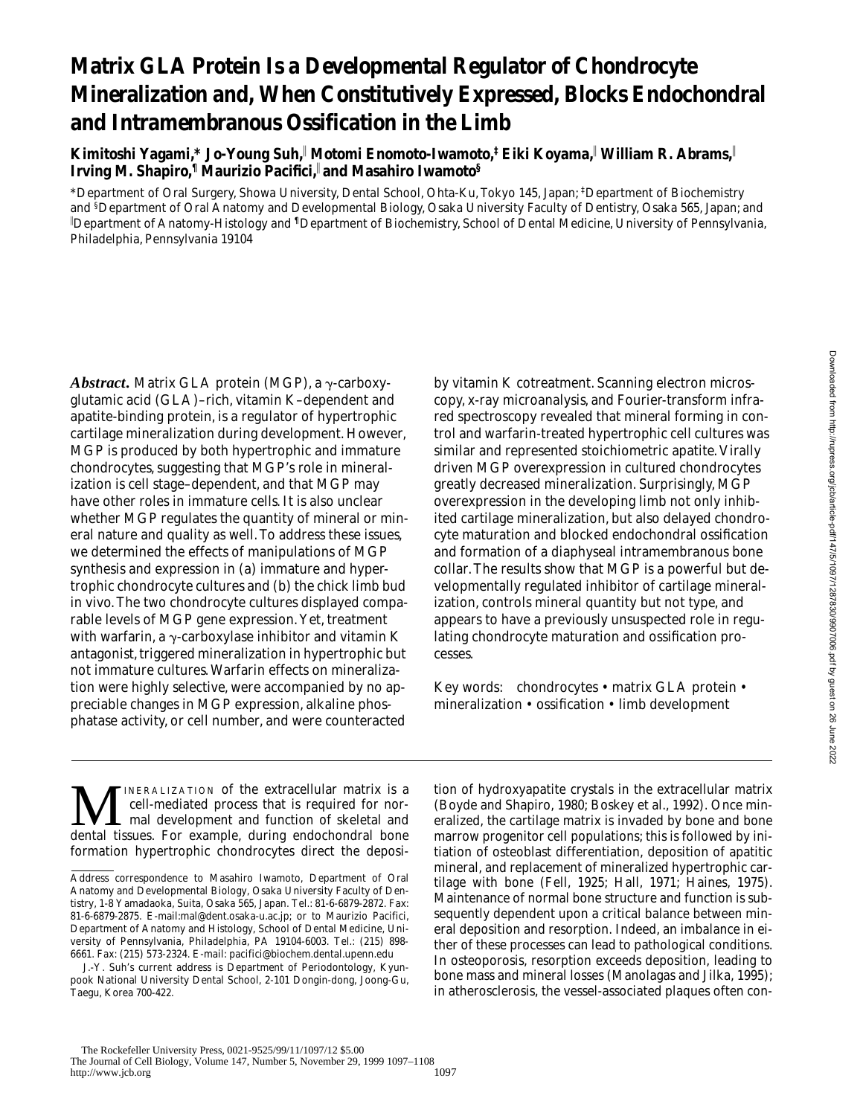# **Matrix GLA Protein Is a Developmental Regulator of Chondrocyte Mineralization and, When Constitutively Expressed, Blocks Endochondral and Intramembranous Ossification in the Limb**

**Kimitoshi Yagami,\* Jo-Young Suh,**<sup>i</sup>  **Motomi Enomoto-Iwamoto,‡ Eiki Koyama,**<sup>i</sup>  **William R. Abrams,**<sup>i</sup> **Irving M. Shapiro,¶ Maurizio Pacifici,**<sup>i</sup> **and Masahiro Iwamoto§**

\*Department of Oral Surgery, Showa University, Dental School, Ohta-Ku, Tokyo 145, Japan; ‡ Department of Biochemistry and <sup>§</sup>Department of Oral Anatomy and Developmental Biology, Osaka University Faculty of Dentistry, Osaka 565, Japan; and i Department of Anatomy-Histology and **¶**Department of Biochemistry, School of Dental Medicine, University of Pennsylvania, Philadelphia, Pennsylvania 19104

*Abstract.* Matrix GLA protein (MGP), a  $\gamma$ -carboxyglutamic acid (GLA)–rich, vitamin K–dependent and apatite-binding protein, is a regulator of hypertrophic cartilage mineralization during development. However, MGP is produced by both hypertrophic and immature chondrocytes, suggesting that MGP's role in mineralization is cell stage–dependent, and that MGP may have other roles in immature cells. It is also unclear whether MGP regulates the quantity of mineral or mineral nature and quality as well. To address these issues, we determined the effects of manipulations of MGP synthesis and expression in (a) immature and hypertrophic chondrocyte cultures and (b) the chick limb bud in vivo. The two chondrocyte cultures displayed comparable levels of MGP gene expression. Yet, treatment with warfarin, a  $\gamma$ -carboxylase inhibitor and vitamin K antagonist, triggered mineralization in hypertrophic but not immature cultures. Warfarin effects on mineralization were highly selective, were accompanied by no appreciable changes in MGP expression, alkaline phosphatase activity, or cell number, and were counteracted

by vitamin K cotreatment. Scanning electron microscopy, x-ray microanalysis, and Fourier-transform infrared spectroscopy revealed that mineral forming in control and warfarin-treated hypertrophic cell cultures was similar and represented stoichiometric apatite. Virally driven MGP overexpression in cultured chondrocytes greatly decreased mineralization. Surprisingly, MGP overexpression in the developing limb not only inhibited cartilage mineralization, but also delayed chondrocyte maturation and blocked endochondral ossification and formation of a diaphyseal intramembranous bone collar. The results show that MGP is a powerful but developmentally regulated inhibitor of cartilage mineralization, controls mineral quantity but not type, and appears to have a previously unsuspected role in regulating chondrocyte maturation and ossification processes.

Key words: chondrocytes • matrix GLA protein • mineralization • ossification • limb development

**MERALIZATION** of the extracellular matrix is a cell-mediated process that is required for normal development and function of skeletal and dental tissues. For example, during endochondral bone cell-mediated process that is required for normal development and function of skeletal and dental tissues. For example, during endochondral bone formation hypertrophic chondrocytes direct the deposi-

tion of hydroxyapatite crystals in the extracellular matrix (Boyde and Shapiro, 1980; Boskey et al., 1992). Once mineralized, the cartilage matrix is invaded by bone and bone marrow progenitor cell populations; this is followed by initiation of osteoblast differentiation, deposition of apatitic mineral, and replacement of mineralized hypertrophic cartilage with bone (Fell, 1925; Hall, 1971; Haines, 1975). Maintenance of normal bone structure and function is subsequently dependent upon a critical balance between mineral deposition and resorption. Indeed, an imbalance in either of these processes can lead to pathological conditions. In osteoporosis, resorption exceeds deposition, leading to bone mass and mineral losses (Manolagas and Jilka, 1995); in atherosclerosis, the vessel-associated plaques often con-

Address correspondence to Masahiro Iwamoto, Department of Oral Anatomy and Developmental Biology, Osaka University Faculty of Dentistry, 1-8 Yamadaoka, Suita, Osaka 565, Japan. Tel.: 81-6-6879-2872. Fax: 81-6-6879-2875. E-mail:mal@dent.osaka-u.ac.jp; or to Maurizio Pacifici, Department of Anatomy and Histology, School of Dental Medicine, University of Pennsylvania, Philadelphia, PA 19104-6003. Tel.: (215) 898- 6661. Fax: (215) 573-2324. E-mail: pacifici@biochem.dental.upenn.edu

J.-Y. Suh's current address is Department of Periodontology, Kyunpook National University Dental School, 2-101 Dongin-dong, Joong-Gu, Taegu, Korea 700-422.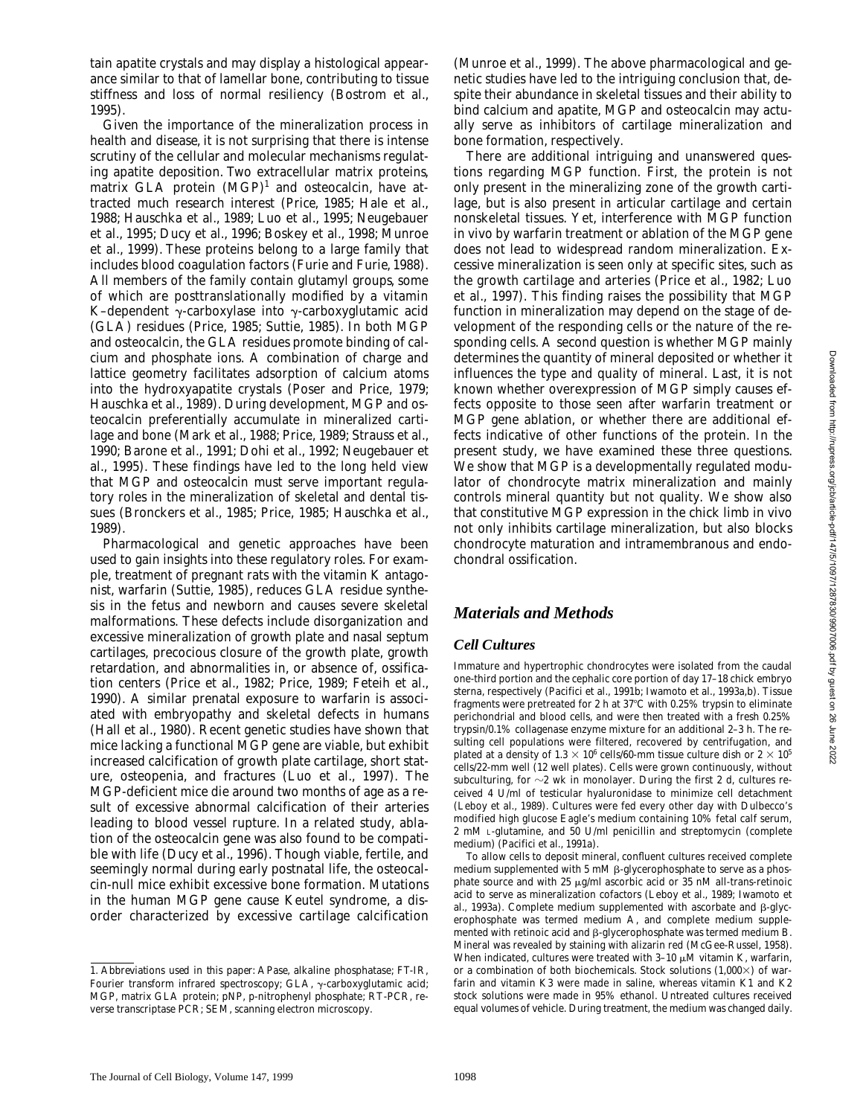tain apatite crystals and may display a histological appearance similar to that of lamellar bone, contributing to tissue stiffness and loss of normal resiliency (Bostrom et al., 1995).

Given the importance of the mineralization process in health and disease, it is not surprising that there is intense scrutiny of the cellular and molecular mechanisms regulating apatite deposition. Two extracellular matrix proteins, matrix GLA protein  $(MGP)^1$  and osteocalcin, have attracted much research interest (Price, 1985; Hale et al., 1988; Hauschka et al., 1989; Luo et al., 1995; Neugebauer et al., 1995; Ducy et al., 1996; Boskey et al., 1998; Munroe et al., 1999). These proteins belong to a large family that includes blood coagulation factors (Furie and Furie, 1988). All members of the family contain glutamyl groups, some of which are posttranslationally modified by a vitamin K–dependent  $\gamma$ -carboxylase into  $\gamma$ -carboxyglutamic acid (GLA) residues (Price, 1985; Suttie, 1985). In both MGP and osteocalcin, the GLA residues promote binding of calcium and phosphate ions. A combination of charge and lattice geometry facilitates adsorption of calcium atoms into the hydroxyapatite crystals (Poser and Price, 1979; Hauschka et al., 1989). During development, MGP and osteocalcin preferentially accumulate in mineralized cartilage and bone (Mark et al., 1988; Price, 1989; Strauss et al., 1990; Barone et al., 1991; Dohi et al., 1992; Neugebauer et al., 1995). These findings have led to the long held view that MGP and osteocalcin must serve important regulatory roles in the mineralization of skeletal and dental tissues (Bronckers et al., 1985; Price, 1985; Hauschka et al., 1989).

Pharmacological and genetic approaches have been used to gain insights into these regulatory roles. For example, treatment of pregnant rats with the vitamin K antagonist, warfarin (Suttie, 1985), reduces GLA residue synthesis in the fetus and newborn and causes severe skeletal malformations. These defects include disorganization and excessive mineralization of growth plate and nasal septum cartilages, precocious closure of the growth plate, growth retardation, and abnormalities in, or absence of, ossification centers (Price et al., 1982; Price, 1989; Feteih et al., 1990). A similar prenatal exposure to warfarin is associated with embryopathy and skeletal defects in humans (Hall et al., 1980). Recent genetic studies have shown that mice lacking a functional MGP gene are viable, but exhibit increased calcification of growth plate cartilage, short stature, osteopenia, and fractures (Luo et al., 1997). The MGP-deficient mice die around two months of age as a result of excessive abnormal calcification of their arteries leading to blood vessel rupture. In a related study, ablation of the osteocalcin gene was also found to be compatible with life (Ducy et al., 1996). Though viable, fertile, and seemingly normal during early postnatal life, the osteocalcin-null mice exhibit excessive bone formation. Mutations in the human MGP gene cause Keutel syndrome, a disorder characterized by excessive cartilage calcification

1. *Abbreviations used in this paper:* APase, alkaline phosphatase; FT-IR, Fourier transform infrared spectroscopy; GLA, γ-carboxyglutamic acid; MGP, matrix GLA protein; pNP, p-nitrophenyl phosphate; RT-PCR, reverse transcriptase PCR; SEM, scanning electron microscopy.

(Munroe et al., 1999). The above pharmacological and genetic studies have led to the intriguing conclusion that, despite their abundance in skeletal tissues and their ability to bind calcium and apatite, MGP and osteocalcin may actually serve as inhibitors of cartilage mineralization and bone formation, respectively.

There are additional intriguing and unanswered questions regarding MGP function. First, the protein is not only present in the mineralizing zone of the growth cartilage, but is also present in articular cartilage and certain nonskeletal tissues. Yet, interference with MGP function in vivo by warfarin treatment or ablation of the MGP gene does not lead to widespread random mineralization. Excessive mineralization is seen only at specific sites, such as the growth cartilage and arteries (Price et al., 1982; Luo et al., 1997). This finding raises the possibility that MGP function in mineralization may depend on the stage of development of the responding cells or the nature of the responding cells. A second question is whether MGP mainly determines the quantity of mineral deposited or whether it influences the type and quality of mineral. Last, it is not known whether overexpression of MGP simply causes effects opposite to those seen after warfarin treatment or MGP gene ablation, or whether there are additional effects indicative of other functions of the protein. In the present study, we have examined these three questions. We show that MGP is a developmentally regulated modulator of chondrocyte matrix mineralization and mainly controls mineral quantity but not quality. We show also that constitutive MGP expression in the chick limb in vivo not only inhibits cartilage mineralization, but also blocks chondrocyte maturation and intramembranous and endochondral ossification.

# *Materials and Methods*

#### *Cell Cultures*

Immature and hypertrophic chondrocytes were isolated from the caudal one-third portion and the cephalic core portion of day 17–18 chick embryo sterna, respectively (Pacifici et al., 1991b; Iwamoto et al., 1993a,b). Tissue fragments were pretreated for 2 h at 37°C with 0.25% trypsin to eliminate perichondrial and blood cells, and were then treated with a fresh 0.25% trypsin/0.1% collagenase enzyme mixture for an additional 2–3 h. The resulting cell populations were filtered, recovered by centrifugation, and plated at a density of 1.3  $\times$  10 $^6$  cells/60-mm tissue culture dish or 2  $\times$  10 $^5$ cells/22-mm well (12 well plates). Cells were grown continuously, without subculturing, for  $\sim$ 2 wk in monolayer. During the first 2 d, cultures received 4 U/ml of testicular hyaluronidase to minimize cell detachment (Leboy et al., 1989). Cultures were fed every other day with Dulbecco's modified high glucose Eagle's medium containing 10% fetal calf serum, 2 mM L-glutamine, and 50 U/ml penicillin and streptomycin (complete medium) (Pacifici et al., 1991a).

To allow cells to deposit mineral, confluent cultures received complete medium supplemented with  $5 \text{ mM } \beta$ -glycerophosphate to serve as a phosphate source and with 25  $\mu$ g/ml ascorbic acid or 35 nM all-trans-retinoic acid to serve as mineralization cofactors (Leboy et al., 1989; Iwamoto et al., 1993a). Complete medium supplemented with ascorbate and  $\beta$ -glycerophosphate was termed medium A, and complete medium supplemented with retinoic acid and  $\beta$ -glycerophosphate was termed medium B. Mineral was revealed by staining with alizarin red (McGee-Russel, 1958). When indicated, cultures were treated with  $3-10 \mu M$  vitamin K, warfarin, or a combination of both biochemicals. Stock solutions  $(1,000\times)$  of warfarin and vitamin K3 were made in saline, whereas vitamin K1 and K2 stock solutions were made in 95% ethanol. Untreated cultures received equal volumes of vehicle. During treatment, the medium was changed daily.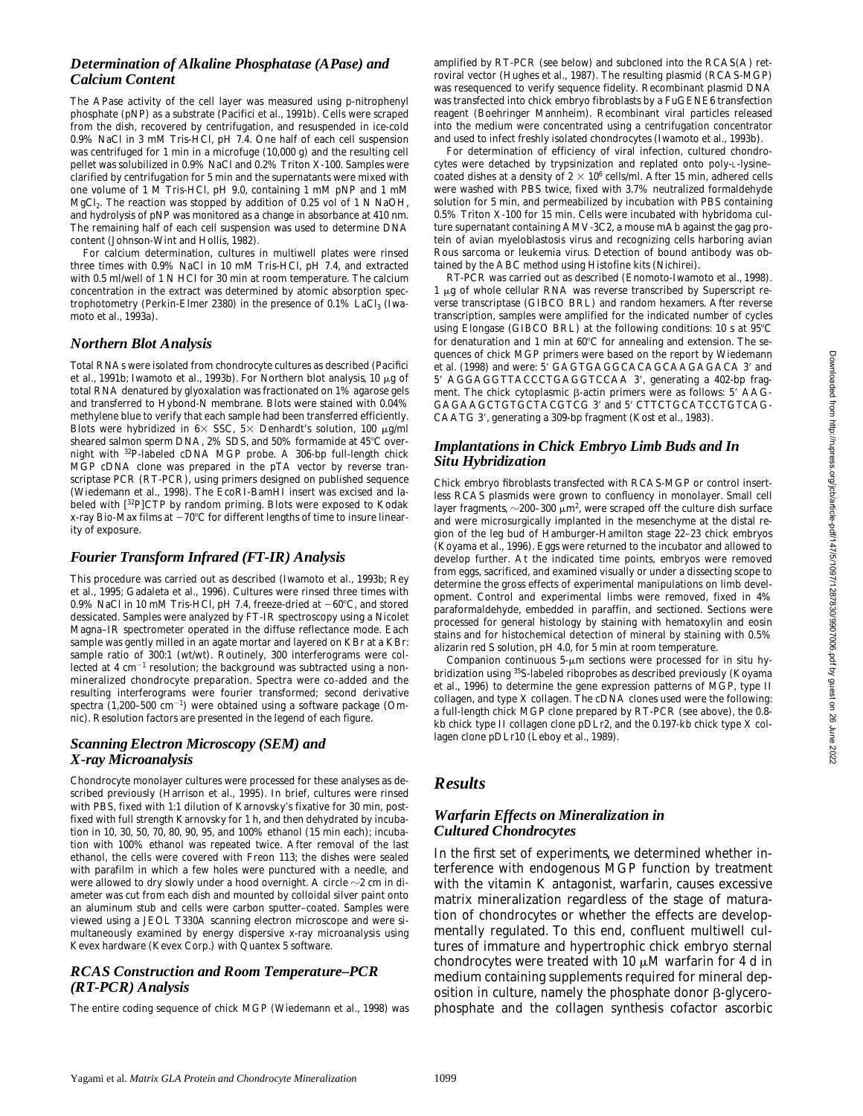The APase activity of the cell layer was measured using p-nitrophenyl phosphate (pNP) as a substrate (Pacifici et al., 1991b). Cells were scraped from the dish, recovered by centrifugation, and resuspended in ice-cold 0.9% NaCl in 3 mM Tris-HCl, pH 7.4. One half of each cell suspension was centrifuged for 1 min in a microfuge (10,000 *g*) and the resulting cell pellet was solubilized in 0.9% NaCl and 0.2% Triton X-100. Samples were clarified by centrifugation for 5 min and the supernatants were mixed with one volume of 1 M Tris-HCl, pH 9.0, containing 1 mM pNP and 1 mM MgCl2. The reaction was stopped by addition of 0.25 vol of 1 N NaOH, and hydrolysis of pNP was monitored as a change in absorbance at 410 nm. The remaining half of each cell suspension was used to determine DNA content (Johnson-Wint and Hollis, 1982).

For calcium determination, cultures in multiwell plates were rinsed three times with 0.9% NaCl in 10 mM Tris-HCl, pH 7.4, and extracted with 0.5 ml/well of 1 N HCl for 30 min at room temperature. The calcium concentration in the extract was determined by atomic absorption spectrophotometry (Perkin-Elmer 2380) in the presence of  $0.1\%$  LaCl<sub>3</sub> (Iwamoto et al., 1993a).

### *Northern Blot Analysis*

Total RNAs were isolated from chondrocyte cultures as described (Pacifici et al., 1991b; Iwamoto et al., 1993b). For Northern blot analysis, 10  $\mu$ g of total RNA denatured by glyoxalation was fractionated on 1% agarose gels and transferred to Hybond-N membrane. Blots were stained with 0.04% methylene blue to verify that each sample had been transferred efficiently. Blots were hybridized in  $6 \times$  SSC,  $5 \times$  Denhardt's solution, 100  $\mu$ g/ml sheared salmon sperm DNA, 2% SDS, and 50% formamide at 45°C overnight with 32P-labeled cDNA MGP probe. A 306-bp full-length chick MGP cDNA clone was prepared in the pTA vector by reverse transcriptase PCR (RT-PCR), using primers designed on published sequence (Wiedemann et al., 1998). The EcoRI-BamHI insert was excised and labeled with [32P]CTP by random priming. Blots were exposed to Kodak x-ray Bio-Max films at  $-70^{\circ}$ C for different lengths of time to insure linearity of exposure.

# *Fourier Transform Infrared (FT-IR) Analysis*

This procedure was carried out as described (Iwamoto et al., 1993b; Rey et al., 1995; Gadaleta et al., 1996). Cultures were rinsed three times with 0.9% NaCl in 10 mM Tris-HCl, pH 7.4, freeze-dried at  $-60^{\circ}$ C, and stored dessicated. Samples were analyzed by FT-IR spectroscopy using a Nicolet Magna–IR spectrometer operated in the diffuse reflectance mode. Each sample was gently milled in an agate mortar and layered on KBr at a KBr: sample ratio of 300:1 (wt/wt). Routinely, 300 interferograms were collected at  $4 \text{ cm}^{-1}$  resolution; the background was subtracted using a nonmineralized chondrocyte preparation. Spectra were co-added and the resulting interferograms were fourier transformed; second derivative spectra  $(1,200-500 \text{ cm}^{-1})$  were obtained using a software package (Omnic). Resolution factors are presented in the legend of each figure.

# *Scanning Electron Microscopy (SEM) and X-ray Microanalysis*

Chondrocyte monolayer cultures were processed for these analyses as described previously (Harrison et al., 1995). In brief, cultures were rinsed with PBS, fixed with 1:1 dilution of Karnovsky's fixative for 30 min, postfixed with full strength Karnovsky for 1 h, and then dehydrated by incubation in 10, 30, 50, 70, 80, 90, 95, and 100% ethanol (15 min each); incubation with 100% ethanol was repeated twice. After removal of the last ethanol, the cells were covered with Freon 113; the dishes were sealed with parafilm in which a few holes were punctured with a needle, and were allowed to dry slowly under a hood overnight. A circle  $\sim$ 2 cm in diameter was cut from each dish and mounted by colloidal silver paint onto an aluminum stub and cells were carbon sputter–coated. Samples were viewed using a JEOL T330A scanning electron microscope and were simultaneously examined by energy dispersive x-ray microanalysis using Kevex hardware (Kevex Corp.) with Quantex 5 software.

#### *RCAS Construction and Room Temperature–PCR (RT-PCR) Analysis*

The entire coding sequence of chick MGP (Wiedemann et al., 1998) was

amplified by RT-PCR (see below) and subcloned into the RCAS(A) retroviral vector (Hughes et al., 1987). The resulting plasmid (RCAS-MGP) was resequenced to verify sequence fidelity. Recombinant plasmid DNA was transfected into chick embryo fibroblasts by a FuGENE6 transfection reagent (Boehringer Mannheim). Recombinant viral particles released into the medium were concentrated using a centrifugation concentrator and used to infect freshly isolated chondrocytes (Iwamoto et al., 1993b).

For determination of efficiency of viral infection, cultured chondrocytes were detached by trypsinization and replated onto poly-L-lysine– coated dishes at a density of 2  $\times$  10 $^6$  cells/ml. After 15 min, adhered cells were washed with PBS twice, fixed with 3.7% neutralized formaldehyde solution for 5 min, and permeabilized by incubation with PBS containing 0.5% Triton X-100 for 15 min. Cells were incubated with hybridoma culture supernatant containing AMV-3C2, a mouse mAb against the gag protein of avian myeloblastosis virus and recognizing cells harboring avian Rous sarcoma or leukemia virus. Detection of bound antibody was obtained by the ABC method using Histofine kits (Nichirei).

RT-PCR was carried out as described (Enomoto-Iwamoto et al., 1998). 1 µg of whole cellular RNA was reverse transcribed by Superscript reverse transcriptase (GIBCO BRL) and random hexamers. After reverse transcription, samples were amplified for the indicated number of cycles using Elongase (GIBCO BRL) at the following conditions: 10 s at 95°C for denaturation and 1 min at  $60^{\circ}$ C for annealing and extension. The sequences of chick MGP primers were based on the report by Wiedemann et al. (1998) and were: 5' GAGTGAGGCACAGCAAGAGACA 3' and 5' AGGAGGTTACCCTGAGGTCCAA 3', generating a 402-bp fragment. The chick cytoplasmic  $\beta$ -actin primers were as follows: 5' AAG-GAGAAGCTGTGCTACGTCG 3' and 5' CTTCTGCATCCTGTCAG-CAATG 3', generating a 309-bp fragment (Kost et al., 1983).

#### *Implantations in Chick Embryo Limb Buds and In Situ Hybridization*

Chick embryo fibroblasts transfected with RCAS-MGP or control insertless RCAS plasmids were grown to confluency in monolayer. Small cell layer fragments,  ${\sim}200$ –300  ${\upmu}$ m $^2$ , were scraped off the culture dish surface and were microsurgically implanted in the mesenchyme at the distal region of the leg bud of Hamburger-Hamilton stage 22–23 chick embryos (Koyama et al., 1996). Eggs were returned to the incubator and allowed to develop further. At the indicated time points, embryos were removed from eggs, sacrificed, and examined visually or under a dissecting scope to determine the gross effects of experimental manipulations on limb development. Control and experimental limbs were removed, fixed in 4% paraformaldehyde, embedded in paraffin, and sectioned. Sections were processed for general histology by staining with hematoxylin and eosin stains and for histochemical detection of mineral by staining with 0.5% alizarin red S solution, pH 4.0, for 5 min at room temperature.

Companion continuous  $5-\mu m$  sections were processed for in situ hybridization using <sup>35</sup>S-labeled riboprobes as described previously (Koyama et al., 1996) to determine the gene expression patterns of MGP, type II collagen, and type X collagen. The cDNA clones used were the following: a full-length chick MGP clone prepared by RT-PCR (see above), the 0.8 kb chick type II collagen clone pDLr2, and the 0.197-kb chick type X collagen clone pDLr10 (Leboy et al., 1989).

# *Results*

#### *Warfarin Effects on Mineralization in Cultured Chondrocytes*

In the first set of experiments, we determined whether interference with endogenous MGP function by treatment with the vitamin K antagonist, warfarin, causes excessive matrix mineralization regardless of the stage of maturation of chondrocytes or whether the effects are developmentally regulated. To this end, confluent multiwell cultures of immature and hypertrophic chick embryo sternal chondrocytes were treated with  $10 \mu M$  warfarin for 4 d in medium containing supplements required for mineral deposition in culture, namely the phosphate donor  $\beta$ -glycerophosphate and the collagen synthesis cofactor ascorbic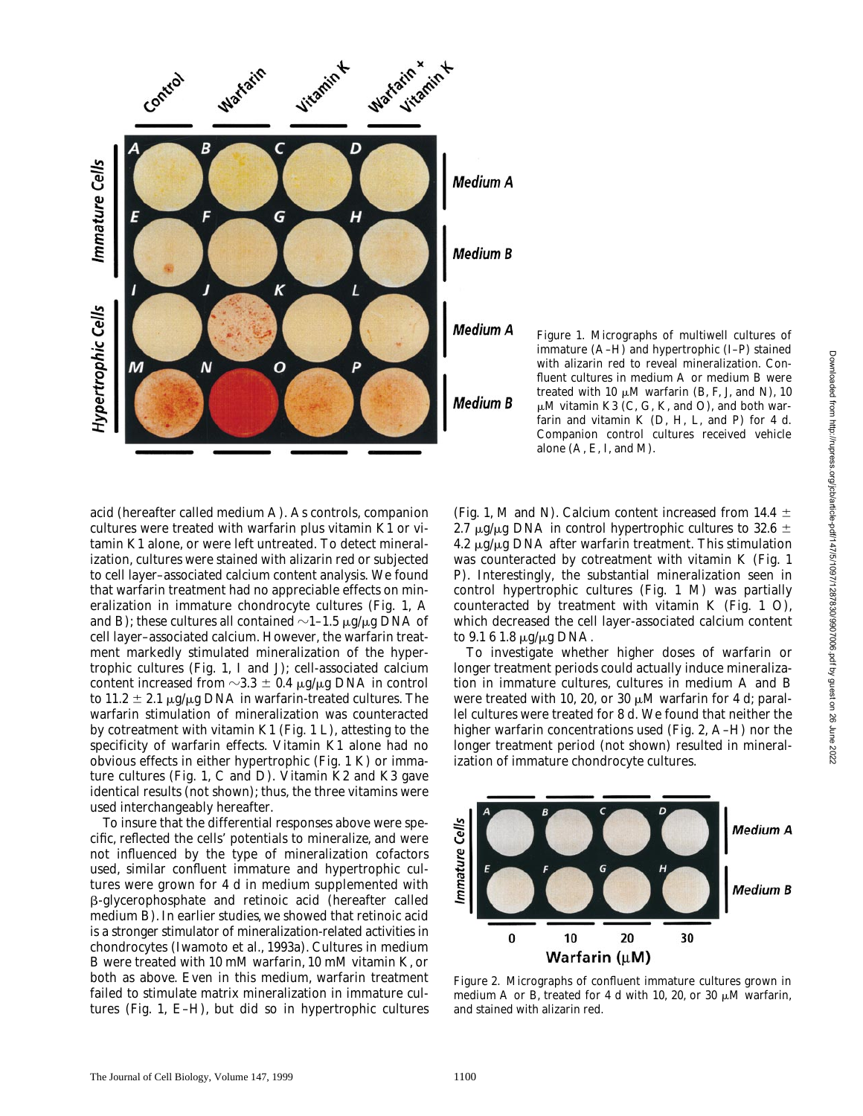

acid (hereafter called medium A). As controls, companion cultures were treated with warfarin plus vitamin K1 or vitamin K1 alone, or were left untreated. To detect mineralization, cultures were stained with alizarin red or subjected to cell layer–associated calcium content analysis. We found that warfarin treatment had no appreciable effects on mineralization in immature chondrocyte cultures (Fig. 1, A and B); these cultures all contained  $\sim$ 1–1.5  $\mu$ g/ $\mu$ g DNA of cell layer–associated calcium. However, the warfarin treatment markedly stimulated mineralization of the hypertrophic cultures (Fig. 1, I and J); cell-associated calcium content increased from  $\sim$ 3.3  $\pm$  0.4  $\mu$ g/ $\mu$ g DNA in control to 11.2  $\pm$  2.1  $\mu$ g/ $\mu$ g DNA in warfarin-treated cultures. The warfarin stimulation of mineralization was counteracted by cotreatment with vitamin K1 (Fig. 1 L), attesting to the specificity of warfarin effects. Vitamin K1 alone had no obvious effects in either hypertrophic (Fig. 1 K) or immature cultures (Fig. 1, C and D). Vitamin K2 and K3 gave identical results (not shown); thus, the three vitamins were

To insure that the differential responses above were specific, reflected the cells' potentials to mineralize, and were not influenced by the type of mineralization cofactors used, similar confluent immature and hypertrophic cultures were grown for 4 d in medium supplemented with b-glycerophosphate and retinoic acid (hereafter called medium B). In earlier studies, we showed that retinoic acid is a stronger stimulator of mineralization-related activities in chondrocytes (Iwamoto et al., 1993a). Cultures in medium B were treated with 10 mM warfarin, 10 mM vitamin K, or both as above. Even in this medium, warfarin treatment failed to stimulate matrix mineralization in immature cultures (Fig. 1, E–H), but did so in hypertrophic cultures

(Fig. 1, M and N). Calcium content increased from 14.4  $\pm$ 2.7  $\mu$ g/ $\mu$ g DNA in control hypertrophic cultures to 32.6  $\pm$  $4.2 \mu g/\mu g$  DNA after warfarin treatment. This stimulation was counteracted by cotreatment with vitamin K (Fig. 1 P). Interestingly, the substantial mineralization seen in control hypertrophic cultures (Fig. 1 M) was partially counteracted by treatment with vitamin K (Fig. 1 O), which decreased the cell layer-associated calcium content to  $9.161.8 \mu g/\mu g$  DNA.

alone (A, E, I, and M).

*Figure 1.* Micrographs of multiwell cultures of immature (A–H) and hypertrophic (I–P) stained with alizarin red to reveal mineralization. Confluent cultures in medium A or medium B were treated with 10  $\mu$ M warfarin (B, F, J, and N), 10  $\mu$ M vitamin K3 (C, G, K, and O), and both warfarin and vitamin K (D, H, L, and P) for 4 d. Companion control cultures received vehicle

To investigate whether higher doses of warfarin or longer treatment periods could actually induce mineralization in immature cultures, cultures in medium A and B were treated with 10, 20, or 30  $\mu$ M warfarin for 4 d; parallel cultures were treated for 8 d. We found that neither the higher warfarin concentrations used (Fig. 2, A–H) nor the longer treatment period (not shown) resulted in mineralization of immature chondrocyte cultures.



*Figure 2.* Micrographs of confluent immature cultures grown in medium A or B, treated for 4 d with 10, 20, or 30  $\mu$ M warfarin, and stained with alizarin red.

The Journal of Cell Biology, Volume 147, 1999 1100

used interchangeably hereafter.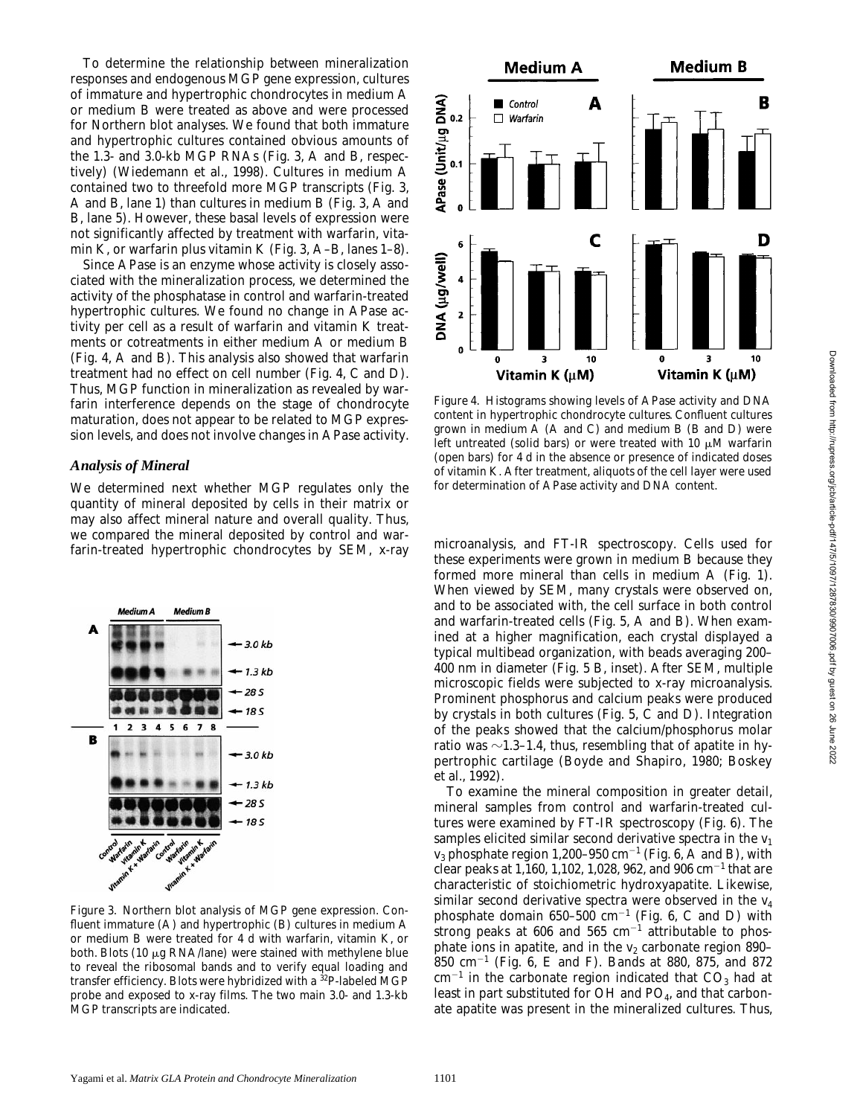To determine the relationship between mineralization responses and endogenous MGP gene expression, cultures of immature and hypertrophic chondrocytes in medium A or medium B were treated as above and were processed for Northern blot analyses. We found that both immature and hypertrophic cultures contained obvious amounts of the 1.3- and 3.0-kb MGP RNAs (Fig. 3, A and B, respectively) (Wiedemann et al., 1998). Cultures in medium A contained two to threefold more MGP transcripts (Fig. 3, A and B, lane 1) than cultures in medium B (Fig. 3, A and B, lane 5). However, these basal levels of expression were not significantly affected by treatment with warfarin, vitamin K, or warfarin plus vitamin K (Fig. 3, A–B, lanes 1–8).

Since APase is an enzyme whose activity is closely associated with the mineralization process, we determined the activity of the phosphatase in control and warfarin-treated hypertrophic cultures. We found no change in APase activity per cell as a result of warfarin and vitamin K treatments or cotreatments in either medium A or medium B (Fig. 4, A and B). This analysis also showed that warfarin treatment had no effect on cell number (Fig. 4, C and D). Thus, MGP function in mineralization as revealed by warfarin interference depends on the stage of chondrocyte maturation, does not appear to be related to MGP expression levels, and does not involve changes in APase activity.

#### *Analysis of Mineral*

We determined next whether MGP regulates only the quantity of mineral deposited by cells in their matrix or may also affect mineral nature and overall quality. Thus, we compared the mineral deposited by control and war-Farin-treated hypertrophic chondrocytes by SEM, x-ray microanalysis, and FT-IR spectroscopy. Cells used for



*Figure 3.* Northern blot analysis of MGP gene expression. Confluent immature (A) and hypertrophic (B) cultures in medium A or medium B were treated for 4 d with warfarin, vitamin K, or both. Blots (10  $\mu$ g RNA/lane) were stained with methylene blue to reveal the ribosomal bands and to verify equal loading and transfer efficiency. Blots were hybridized with a <sup>32</sup>P-labeled MGP probe and exposed to x-ray films. The two main 3.0- and 1.3-kb MGP transcripts are indicated.



*Figure 4.* Histograms showing levels of APase activity and DNA content in hypertrophic chondrocyte cultures. Confluent cultures grown in medium A (A and C) and medium B (B and D) were left untreated (solid bars) or were treated with 10  $\mu$ M warfarin (open bars) for 4 d in the absence or presence of indicated doses of vitamin K. After treatment, aliquots of the cell layer were used for determination of APase activity and DNA content.

these experiments were grown in medium B because they formed more mineral than cells in medium A (Fig. 1). When viewed by SEM, many crystals were observed on, and to be associated with, the cell surface in both control and warfarin-treated cells (Fig. 5, A and B). When examined at a higher magnification, each crystal displayed a typical multibead organization, with beads averaging 200– 400 nm in diameter (Fig. 5 B, inset). After SEM, multiple microscopic fields were subjected to x-ray microanalysis. Prominent phosphorus and calcium peaks were produced by crystals in both cultures (Fig. 5, C and D). Integration of the peaks showed that the calcium/phosphorus molar ratio was  $\sim$ 1.3–1.4, thus, resembling that of apatite in hypertrophic cartilage (Boyde and Shapiro, 1980; Boskey et al., 1992).

To examine the mineral composition in greater detail, mineral samples from control and warfarin-treated cultures were examined by FT-IR spectroscopy (Fig. 6). The samples elicited similar second derivative spectra in the  $v_1$  $\rm v_3$  phosphate region 1,200–950 cm $^{-1}$  (Fig. 6, A and B), with clear peaks at 1,160, 1,102, 1,028, 962, and 906  $\rm cm^{-1}$  that are characteristic of stoichiometric hydroxyapatite. Likewise, similar second derivative spectra were observed in the  $v_4$ phosphate domain  $650-500$  cm<sup>-1</sup> (Fig. 6, C and D) with strong peaks at 606 and 565  $cm^{-1}$  attributable to phosphate ions in apatite, and in the  $v_2$  carbonate region 890–  $850$  cm<sup>-1</sup> (Fig. 6, E and F). Bands at 880, 875, and 872  $\text{cm}^{-1}$  in the carbonate region indicated that  $\text{CO}_3$  had at least in part substituted for  $OH$  and  $PO<sub>4</sub>$ , and that carbonate apatite was present in the mineralized cultures. Thus,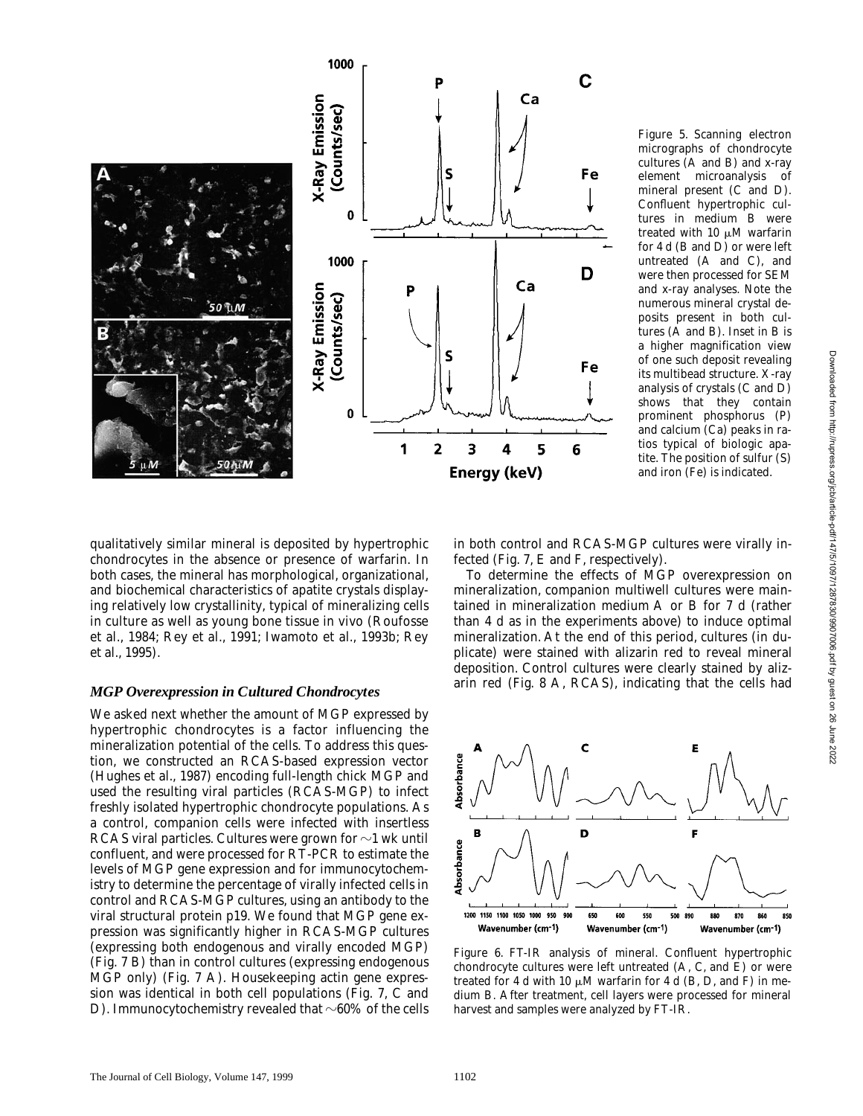

*Figure 5.* Scanning electron micrographs of chondrocyte cultures (A and B) and x-ray element microanalysis of mineral present (C and D). Confluent hypertrophic cultures in medium B were treated with 10  $\mu$ M warfarin for 4 d (B and D) or were left untreated (A and C), and were then processed for SEM and x-ray analyses. Note the numerous mineral crystal deposits present in both cultures (A and B). Inset in B is a higher magnification view of one such deposit revealing its multibead structure. X-ray analysis of crystals (C and D) shows that they contain prominent phosphorus (P) and calcium (Ca) peaks in ratios typical of biologic apatite. The position of sulfur (S) and iron (Fe) is indicated.

qualitatively similar mineral is deposited by hypertrophic chondrocytes in the absence or presence of warfarin. In both cases, the mineral has morphological, organizational, and biochemical characteristics of apatite crystals displaying relatively low crystallinity, typical of mineralizing cells in culture as well as young bone tissue in vivo (Roufosse et al., 1984; Rey et al., 1991; Iwamoto et al., 1993b; Rey et al., 1995).

#### *MGP Overexpression in Cultured Chondrocytes*

We asked next whether the amount of MGP expressed by hypertrophic chondrocytes is a factor influencing the mineralization potential of the cells. To address this question, we constructed an RCAS-based expression vector (Hughes et al., 1987) encoding full-length chick MGP and used the resulting viral particles (RCAS-MGP) to infect freshly isolated hypertrophic chondrocyte populations. As a control, companion cells were infected with insertless RCAS viral particles. Cultures were grown for  $\sim$ 1 wk until confluent, and were processed for RT-PCR to estimate the levels of MGP gene expression and for immunocytochemistry to determine the percentage of virally infected cells in control and RCAS-MGP cultures, using an antibody to the viral structural protein p19. We found that MGP gene expression was significantly higher in RCAS-MGP cultures (expressing both endogenous and virally encoded MGP) (Fig. 7 B) than in control cultures (expressing endogenous MGP only) (Fig. 7 A). Housekeeping actin gene expression was identical in both cell populations (Fig. 7, C and D). Immunocytochemistry revealed that  $\sim 60\%$  of the cells

in both control and RCAS-MGP cultures were virally infected (Fig. 7, E and F, respectively).

To determine the effects of MGP overexpression on mineralization, companion multiwell cultures were maintained in mineralization medium A or B for 7 d (rather than 4 d as in the experiments above) to induce optimal mineralization. At the end of this period, cultures (in duplicate) were stained with alizarin red to reveal mineral deposition. Control cultures were clearly stained by alizarin red (Fig. 8 A, RCAS), indicating that the cells had



*Figure 6.* FT-IR analysis of mineral. Confluent hypertrophic chondrocyte cultures were left untreated (A, C, and E) or were treated for 4 d with 10  $\mu$ M warfarin for 4 d (B, D, and F) in medium B. After treatment, cell layers were processed for mineral harvest and samples were analyzed by FT-IR.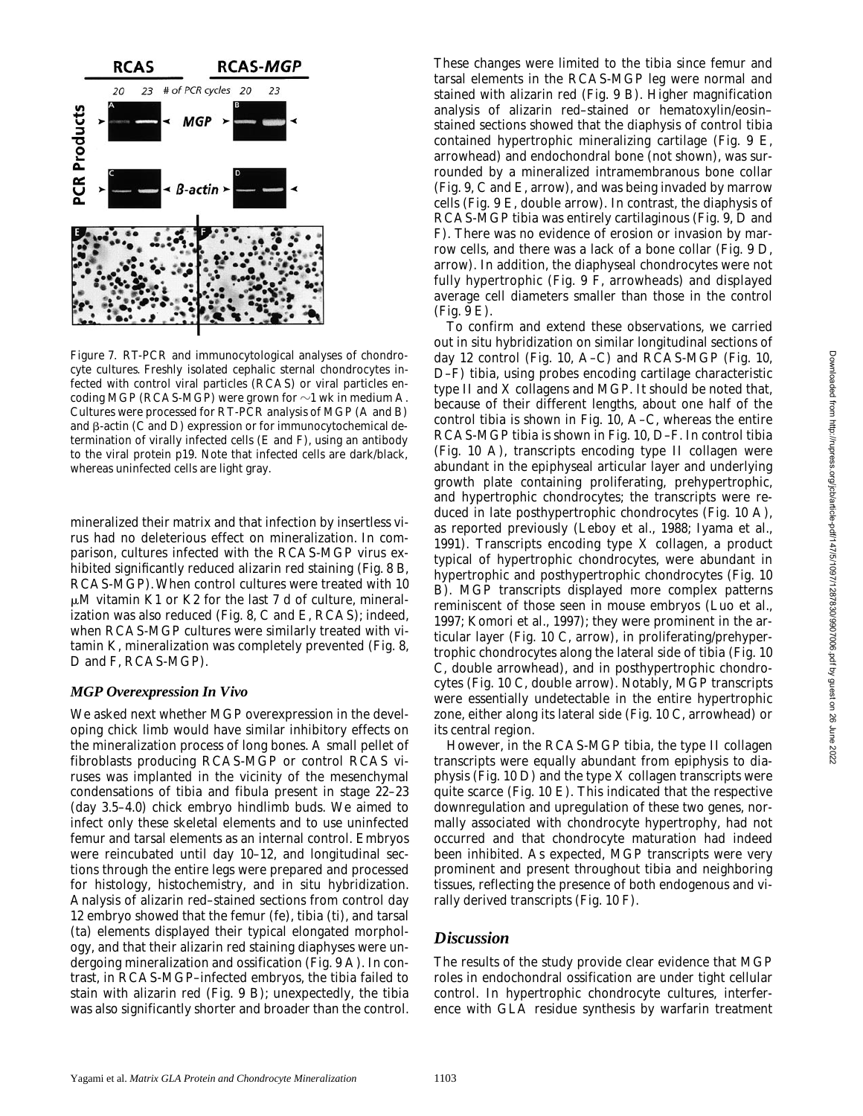

*Figure 7.* RT-PCR and immunocytological analyses of chondrocyte cultures. Freshly isolated cephalic sternal chondrocytes infected with control viral particles (RCAS) or viral particles encoding MGP (RCAS-MGP) were grown for  $\sim$ 1 wk in medium A. Cultures were processed for RT-PCR analysis of MGP (A and B) and  $\beta$ -actin (C and D) expression or for immunocytochemical determination of virally infected cells (E and F), using an antibody to the viral protein p19. Note that infected cells are dark/black, whereas uninfected cells are light gray.

mineralized their matrix and that infection by insertless virus had no deleterious effect on mineralization. In comparison, cultures infected with the RCAS-MGP virus exhibited significantly reduced alizarin red staining (Fig. 8 B, RCAS-MGP). When control cultures were treated with 10  $\mu$ M vitamin K1 or K2 for the last 7 d of culture, mineralization was also reduced (Fig. 8, C and E, RCAS); indeed, when RCAS-MGP cultures were similarly treated with vitamin K, mineralization was completely prevented (Fig. 8, D and F, RCAS-MGP).

#### *MGP Overexpression In Vivo*

We asked next whether MGP overexpression in the developing chick limb would have similar inhibitory effects on the mineralization process of long bones. A small pellet of fibroblasts producing RCAS-MGP or control RCAS viruses was implanted in the vicinity of the mesenchymal condensations of tibia and fibula present in stage 22–23 (day 3.5–4.0) chick embryo hindlimb buds. We aimed to infect only these skeletal elements and to use uninfected femur and tarsal elements as an internal control. Embryos were reincubated until day 10–12, and longitudinal sections through the entire legs were prepared and processed for histology, histochemistry, and in situ hybridization. Analysis of alizarin red–stained sections from control day 12 embryo showed that the femur (fe), tibia (ti), and tarsal (ta) elements displayed their typical elongated morphology, and that their alizarin red staining diaphyses were undergoing mineralization and ossification (Fig. 9 A). In contrast, in RCAS-MGP–infected embryos, the tibia failed to stain with alizarin red (Fig. 9 B); unexpectedly, the tibia was also significantly shorter and broader than the control.

These changes were limited to the tibia since femur and tarsal elements in the RCAS-MGP leg were normal and stained with alizarin red (Fig. 9 B). Higher magnification analysis of alizarin red–stained or hematoxylin/eosin– stained sections showed that the diaphysis of control tibia contained hypertrophic mineralizing cartilage (Fig. 9 E, arrowhead) and endochondral bone (not shown), was surrounded by a mineralized intramembranous bone collar (Fig. 9, C and E, arrow), and was being invaded by marrow cells (Fig. 9 E, double arrow). In contrast, the diaphysis of RCAS-MGP tibia was entirely cartilaginous (Fig. 9, D and F). There was no evidence of erosion or invasion by marrow cells, and there was a lack of a bone collar (Fig. 9 D, arrow). In addition, the diaphyseal chondrocytes were not fully hypertrophic (Fig. 9 F, arrowheads) and displayed average cell diameters smaller than those in the control (Fig. 9 E).

To confirm and extend these observations, we carried out in situ hybridization on similar longitudinal sections of day 12 control (Fig. 10, A–C) and RCAS-MGP (Fig. 10, D–F) tibia, using probes encoding cartilage characteristic type II and X collagens and MGP. It should be noted that, because of their different lengths, about one half of the control tibia is shown in Fig. 10, A–C, whereas the entire RCAS-MGP tibia is shown in Fig. 10, D–F. In control tibia (Fig. 10 A), transcripts encoding type II collagen were abundant in the epiphyseal articular layer and underlying growth plate containing proliferating, prehypertrophic, and hypertrophic chondrocytes; the transcripts were reduced in late posthypertrophic chondrocytes (Fig. 10 A), as reported previously (Leboy et al., 1988; Iyama et al., 1991). Transcripts encoding type X collagen, a product typical of hypertrophic chondrocytes, were abundant in hypertrophic and posthypertrophic chondrocytes (Fig. 10 B). MGP transcripts displayed more complex patterns reminiscent of those seen in mouse embryos (Luo et al., 1997; Komori et al., 1997); they were prominent in the articular layer (Fig. 10 C, arrow), in proliferating/prehypertrophic chondrocytes along the lateral side of tibia (Fig. 10 C, double arrowhead), and in posthypertrophic chondrocytes (Fig. 10 C, double arrow). Notably, MGP transcripts were essentially undetectable in the entire hypertrophic zone, either along its lateral side (Fig. 10 C, arrowhead) or its central region.

However, in the RCAS-MGP tibia, the type II collagen transcripts were equally abundant from epiphysis to diaphysis (Fig. 10 D) and the type X collagen transcripts were quite scarce (Fig. 10 E). This indicated that the respective downregulation and upregulation of these two genes, normally associated with chondrocyte hypertrophy, had not occurred and that chondrocyte maturation had indeed been inhibited. As expected, MGP transcripts were very prominent and present throughout tibia and neighboring tissues, reflecting the presence of both endogenous and virally derived transcripts (Fig. 10 F).

## *Discussion*

The results of the study provide clear evidence that MGP roles in endochondral ossification are under tight cellular control. In hypertrophic chondrocyte cultures, interference with GLA residue synthesis by warfarin treatment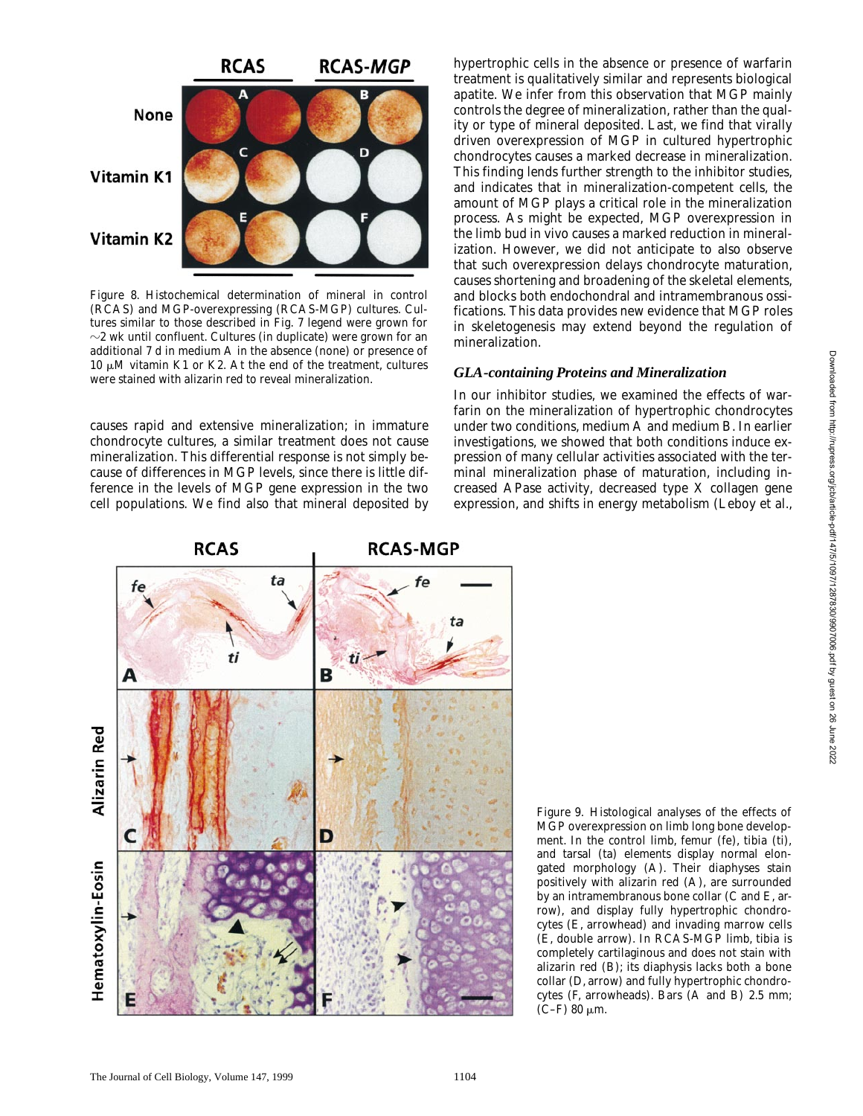

*Figure 8.* Histochemical determination of mineral in control (RCAS) and MGP-overexpressing (RCAS-MGP) cultures. Cultures similar to those described in Fig. 7 legend were grown for  $\sim$ 2 wk until confluent. Cultures (in duplicate) were grown for an additional 7 d in medium A in the absence (none) or presence of 10  $\mu$ M vitamin K1 or K2. At the end of the treatment, cultures were stained with alizarin red to reveal mineralization.

causes rapid and extensive mineralization; in immature chondrocyte cultures, a similar treatment does not cause mineralization. This differential response is not simply because of differences in MGP levels, since there is little difference in the levels of MGP gene expression in the two cell populations. We find also that mineral deposited by

hypertrophic cells in the absence or presence of warfarin treatment is qualitatively similar and represents biological apatite. We infer from this observation that MGP mainly controls the degree of mineralization, rather than the quality or type of mineral deposited. Last, we find that virally driven overexpression of MGP in cultured hypertrophic chondrocytes causes a marked decrease in mineralization. This finding lends further strength to the inhibitor studies, and indicates that in mineralization-competent cells, the amount of MGP plays a critical role in the mineralization process. As might be expected, MGP overexpression in the limb bud in vivo causes a marked reduction in mineralization. However, we did not anticipate to also observe that such overexpression delays chondrocyte maturation, causes shortening and broadening of the skeletal elements, and blocks both endochondral and intramembranous ossifications. This data provides new evidence that MGP roles in skeletogenesis may extend beyond the regulation of mineralization.

#### *GLA-containing Proteins and Mineralization*

In our inhibitor studies, we examined the effects of warfarin on the mineralization of hypertrophic chondrocytes under two conditions, medium A and medium B. In earlier investigations, we showed that both conditions induce expression of many cellular activities associated with the terminal mineralization phase of maturation, including increased APase activity, decreased type X collagen gene expression, and shifts in energy metabolism (Leboy et al.,



*Figure 9.* Histological analyses of the effects of MGP overexpression on limb long bone development. In the control limb, femur (fe), tibia (ti), and tarsal (ta) elements display normal elongated morphology (A). Their diaphyses stain positively with alizarin red (A), are surrounded by an intramembranous bone collar (C and E, arrow), and display fully hypertrophic chondrocytes (E, arrowhead) and invading marrow cells (E, double arrow). In RCAS-MGP limb, tibia is completely cartilaginous and does not stain with alizarin red (B); its diaphysis lacks both a bone collar (D, arrow) and fully hypertrophic chondrocytes (F, arrowheads). Bars (A and B) 2.5 mm;  $(C-F)$  80  $\mu$ m.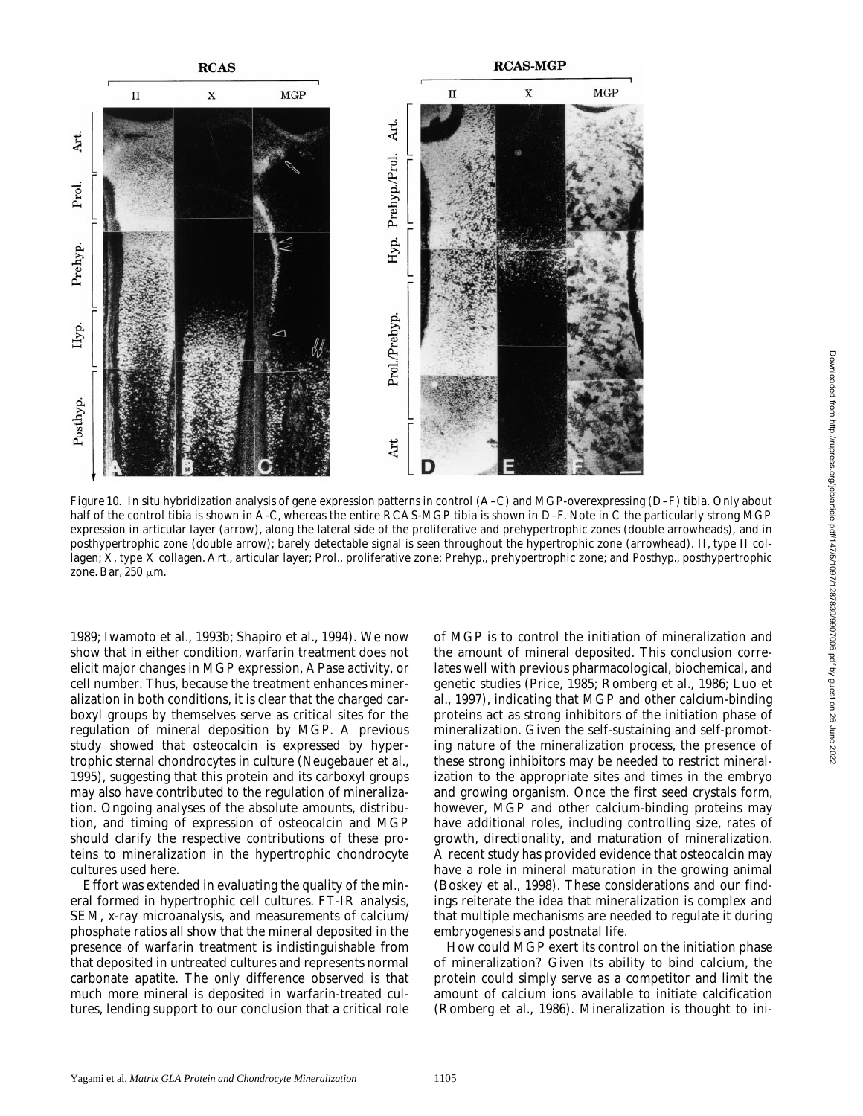

*Figure 10.* In situ hybridization analysis of gene expression patterns in control (A–C) and MGP-overexpressing (D–F) tibia. Only about half of the control tibia is shown in A-C, whereas the entire RCAS-MGP tibia is shown in D–F. Note in C the particularly strong MGP expression in articular layer (arrow), along the lateral side of the proliferative and prehypertrophic zones (double arrowheads), and in posthypertrophic zone (double arrow); barely detectable signal is seen throughout the hypertrophic zone (arrowhead). II, type II collagen; X, type X collagen. Art., articular layer; Prol., proliferative zone; Prehyp., prehypertrophic zone; and Posthyp., posthypertrophic zone. Bar,  $250 \mu m$ .

1989; Iwamoto et al., 1993b; Shapiro et al., 1994). We now show that in either condition, warfarin treatment does not elicit major changes in MGP expression, APase activity, or cell number. Thus, because the treatment enhances mineralization in both conditions, it is clear that the charged carboxyl groups by themselves serve as critical sites for the regulation of mineral deposition by MGP. A previous study showed that osteocalcin is expressed by hypertrophic sternal chondrocytes in culture (Neugebauer et al., 1995), suggesting that this protein and its carboxyl groups may also have contributed to the regulation of mineralization. Ongoing analyses of the absolute amounts, distribution, and timing of expression of osteocalcin and MGP should clarify the respective contributions of these proteins to mineralization in the hypertrophic chondrocyte cultures used here.

Effort was extended in evaluating the quality of the mineral formed in hypertrophic cell cultures. FT-IR analysis, SEM, x-ray microanalysis, and measurements of calcium/ phosphate ratios all show that the mineral deposited in the presence of warfarin treatment is indistinguishable from that deposited in untreated cultures and represents normal carbonate apatite. The only difference observed is that much more mineral is deposited in warfarin-treated cultures, lending support to our conclusion that a critical role of MGP is to control the initiation of mineralization and the amount of mineral deposited. This conclusion correlates well with previous pharmacological, biochemical, and genetic studies (Price, 1985; Romberg et al., 1986; Luo et al., 1997), indicating that MGP and other calcium-binding proteins act as strong inhibitors of the initiation phase of mineralization. Given the self-sustaining and self-promoting nature of the mineralization process, the presence of these strong inhibitors may be needed to restrict mineralization to the appropriate sites and times in the embryo and growing organism. Once the first seed crystals form, however, MGP and other calcium-binding proteins may have additional roles, including controlling size, rates of growth, directionality, and maturation of mineralization. A recent study has provided evidence that osteocalcin may have a role in mineral maturation in the growing animal (Boskey et al., 1998). These considerations and our findings reiterate the idea that mineralization is complex and that multiple mechanisms are needed to regulate it during embryogenesis and postnatal life.

How could MGP exert its control on the initiation phase of mineralization? Given its ability to bind calcium, the protein could simply serve as a competitor and limit the amount of calcium ions available to initiate calcification (Romberg et al., 1986). Mineralization is thought to ini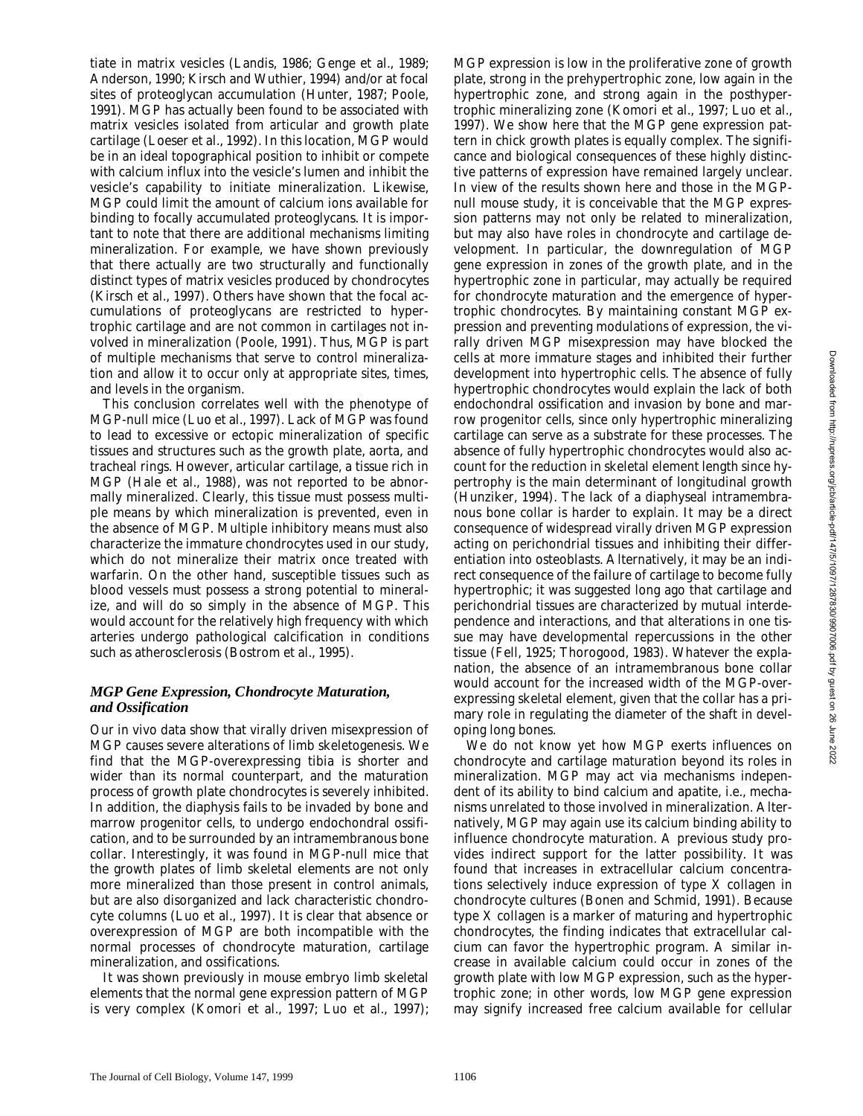tiate in matrix vesicles (Landis, 1986; Genge et al., 1989; Anderson, 1990; Kirsch and Wuthier, 1994) and/or at focal sites of proteoglycan accumulation (Hunter, 1987; Poole, 1991). MGP has actually been found to be associated with matrix vesicles isolated from articular and growth plate cartilage (Loeser et al., 1992). In this location, MGP would be in an ideal topographical position to inhibit or compete with calcium influx into the vesicle's lumen and inhibit the vesicle's capability to initiate mineralization. Likewise, MGP could limit the amount of calcium ions available for binding to focally accumulated proteoglycans. It is important to note that there are additional mechanisms limiting mineralization. For example, we have shown previously that there actually are two structurally and functionally distinct types of matrix vesicles produced by chondrocytes (Kirsch et al., 1997). Others have shown that the focal accumulations of proteoglycans are restricted to hypertrophic cartilage and are not common in cartilages not involved in mineralization (Poole, 1991). Thus, MGP is part of multiple mechanisms that serve to control mineralization and allow it to occur only at appropriate sites, times, and levels in the organism.

This conclusion correlates well with the phenotype of MGP-null mice (Luo et al., 1997). Lack of MGP was found to lead to excessive or ectopic mineralization of specific tissues and structures such as the growth plate, aorta, and tracheal rings. However, articular cartilage, a tissue rich in MGP (Hale et al., 1988), was not reported to be abnormally mineralized. Clearly, this tissue must possess multiple means by which mineralization is prevented, even in the absence of MGP. Multiple inhibitory means must also characterize the immature chondrocytes used in our study, which do not mineralize their matrix once treated with warfarin. On the other hand, susceptible tissues such as blood vessels must possess a strong potential to mineralize, and will do so simply in the absence of MGP. This would account for the relatively high frequency with which arteries undergo pathological calcification in conditions such as atherosclerosis (Bostrom et al., 1995).

#### *MGP Gene Expression, Chondrocyte Maturation, and Ossification*

Our in vivo data show that virally driven misexpression of MGP causes severe alterations of limb skeletogenesis. We find that the MGP-overexpressing tibia is shorter and wider than its normal counterpart, and the maturation process of growth plate chondrocytes is severely inhibited. In addition, the diaphysis fails to be invaded by bone and marrow progenitor cells, to undergo endochondral ossification, and to be surrounded by an intramembranous bone collar. Interestingly, it was found in MGP-null mice that the growth plates of limb skeletal elements are not only more mineralized than those present in control animals, but are also disorganized and lack characteristic chondrocyte columns (Luo et al., 1997). It is clear that absence or overexpression of MGP are both incompatible with the normal processes of chondrocyte maturation, cartilage mineralization, and ossifications.

It was shown previously in mouse embryo limb skeletal elements that the normal gene expression pattern of MGP is very complex (Komori et al., 1997; Luo et al., 1997); MGP expression is low in the proliferative zone of growth plate, strong in the prehypertrophic zone, low again in the hypertrophic zone, and strong again in the posthypertrophic mineralizing zone (Komori et al., 1997; Luo et al., 1997). We show here that the MGP gene expression pattern in chick growth plates is equally complex. The significance and biological consequences of these highly distinctive patterns of expression have remained largely unclear. In view of the results shown here and those in the MGPnull mouse study, it is conceivable that the MGP expression patterns may not only be related to mineralization, but may also have roles in chondrocyte and cartilage development. In particular, the downregulation of MGP gene expression in zones of the growth plate, and in the hypertrophic zone in particular, may actually be required for chondrocyte maturation and the emergence of hypertrophic chondrocytes. By maintaining constant MGP expression and preventing modulations of expression, the virally driven MGP misexpression may have blocked the cells at more immature stages and inhibited their further development into hypertrophic cells. The absence of fully hypertrophic chondrocytes would explain the lack of both endochondral ossification and invasion by bone and marrow progenitor cells, since only hypertrophic mineralizing cartilage can serve as a substrate for these processes. The absence of fully hypertrophic chondrocytes would also account for the reduction in skeletal element length since hypertrophy is the main determinant of longitudinal growth (Hunziker, 1994). The lack of a diaphyseal intramembranous bone collar is harder to explain. It may be a direct consequence of widespread virally driven MGP expression acting on perichondrial tissues and inhibiting their differentiation into osteoblasts. Alternatively, it may be an indirect consequence of the failure of cartilage to become fully hypertrophic; it was suggested long ago that cartilage and perichondrial tissues are characterized by mutual interdependence and interactions, and that alterations in one tissue may have developmental repercussions in the other tissue (Fell, 1925; Thorogood, 1983). Whatever the explanation, the absence of an intramembranous bone collar would account for the increased width of the MGP-overexpressing skeletal element, given that the collar has a primary role in regulating the diameter of the shaft in developing long bones.

We do not know yet how MGP exerts influences on chondrocyte and cartilage maturation beyond its roles in mineralization. MGP may act via mechanisms independent of its ability to bind calcium and apatite, i.e., mechanisms unrelated to those involved in mineralization. Alternatively, MGP may again use its calcium binding ability to influence chondrocyte maturation. A previous study provides indirect support for the latter possibility. It was found that increases in extracellular calcium concentrations selectively induce expression of type X collagen in chondrocyte cultures (Bonen and Schmid, 1991). Because type X collagen is a marker of maturing and hypertrophic chondrocytes, the finding indicates that extracellular calcium can favor the hypertrophic program. A similar increase in available calcium could occur in zones of the growth plate with low MGP expression, such as the hypertrophic zone; in other words, low MGP gene expression may signify increased free calcium available for cellular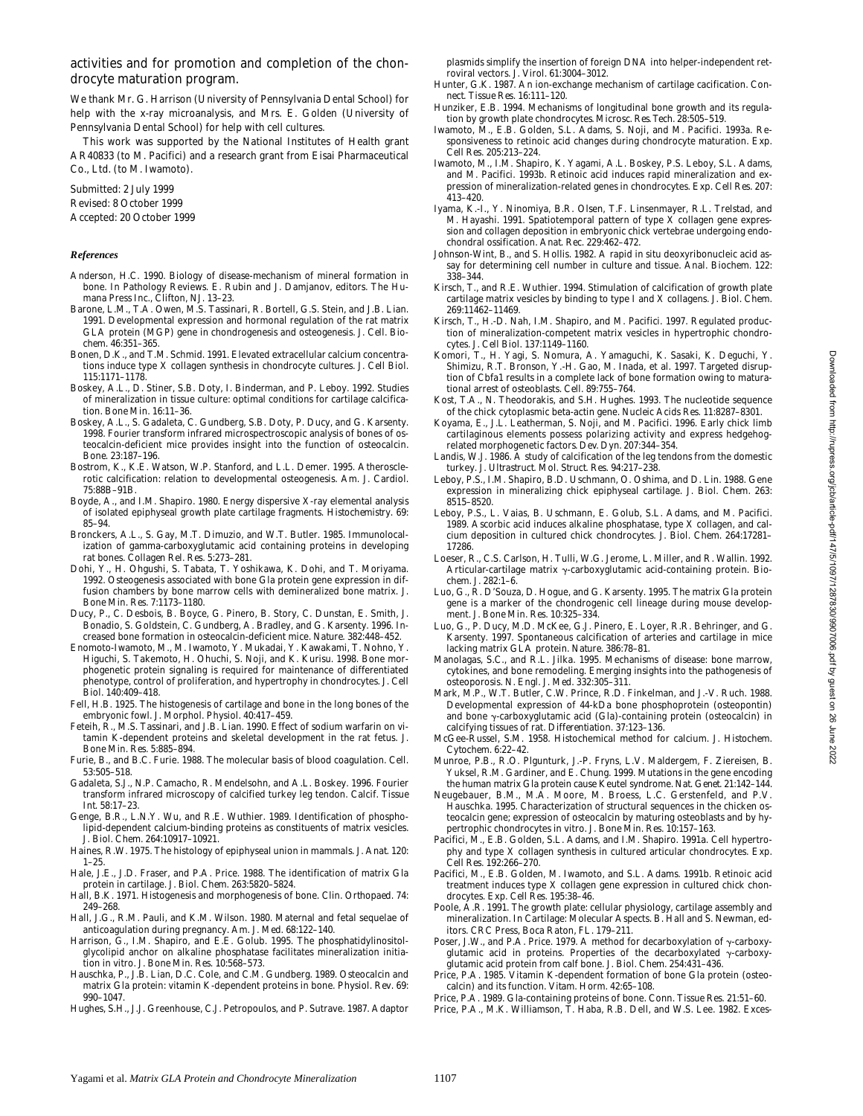#### activities and for promotion and completion of the chondrocyte maturation program.

We thank Mr. G. Harrison (University of Pennsylvania Dental School) for help with the x-ray microanalysis, and Mrs. E. Golden (University of Pennsylvania Dental School) for help with cell cultures.

This work was supported by the National Institutes of Health grant AR40833 (to M. Pacifici) and a research grant from Eisai Pharmaceutical Co., Ltd. (to M. Iwamoto).

Submitted: 2 July 1999 Revised: 8 October 1999 Accepted: 20 October 1999

#### *References*

- Anderson, H.C. 1990. Biology of disease-mechanism of mineral formation in bone. *In* Pathology Reviews. E. Rubin and J. Damjanov, editors. The Humana Press Inc., Clifton, NJ. 13–23.
- Barone, L.M., T.A. Owen, M.S. Tassinari, R. Bortell, G.S. Stein, and J.B. Lian. 1991. Developmental expression and hormonal regulation of the rat matrix GLA protein (MGP) gene in chondrogenesis and osteogenesis. *J. Cell. Biochem*. 46:351–365.
- Bonen, D.K., and T.M. Schmid. 1991. Elevated extracellular calcium concentrations induce type X collagen synthesis in chondrocyte cultures. *J. Cell Biol*. 115:1171–1178.
- Boskey, A.L., D. Stiner, S.B. Doty, I. Binderman, and P. Leboy. 1992. Studies of mineralization in tissue culture: optimal conditions for cartilage calcification. *Bone Min*. 16:11–36.
- Boskey, A.L., S. Gadaleta, C. Gundberg, S.B. Doty, P. Ducy, and G. Karsenty. 1998. Fourier transform infrared microspectroscopic analysis of bones of osteocalcin-deficient mice provides insight into the function of osteocalcin. *Bone.* 23:187–196.
- Bostrom, K., K.E. Watson, W.P. Stanford, and L.L. Demer. 1995. Atherosclerotic calcification: relation to developmental osteogenesis. *Am. J. Cardiol.* 75:88B–91B.
- Boyde, A., and I.M. Shapiro. 1980. Energy dispersive X-ray elemental analysis of isolated epiphyseal growth plate cartilage fragments. *Histochemistry*. 69: 85–94.
- Bronckers, A.L., S. Gay, M.T. Dimuzio, and W.T. Butler. 1985. Immunolocalization of gamma-carboxyglutamic acid containing proteins in developing rat bones. *Collagen Rel. Res*. 5:273–281.
- Dohi, Y., H. Ohgushi, S. Tabata, T. Yoshikawa, K. Dohi, and T. Moriyama. 1992. Osteogenesis associated with bone Gla protein gene expression in diffusion chambers by bone marrow cells with demineralized bone matrix. *J. Bone Min. Res.* 7:1173–1180.
- Ducy, P., C. Desbois, B. Boyce, G. Pinero, B. Story, C. Dunstan, E. Smith, J. Bonadio, S. Goldstein, C. Gundberg, A. Bradley, and G. Karsenty. 1996. Increased bone formation in osteocalcin-deficient mice. *Nature.* 382:448–452.
- Enomoto-Iwamoto, M., M. Iwamoto, Y. Mukadai, Y. Kawakami, T. Nohno, Y. Higuchi, S. Takemoto, H. Ohuchi, S. Noji, and K. Kurisu. 1998. Bone morphogenetic protein signaling is required for maintenance of differentiated phenotype, control of proliferation, and hypertrophy in chondrocytes. *J. Cell Biol*. 140:409–418.
- Fell, H.B. 1925. The histogenesis of cartilage and bone in the long bones of the embryonic fowl. *J. Morphol. Physiol.* 40:417–459.
- Feteih, R., M.S. Tassinari, and J.B. Lian. 1990. Effect of sodium warfarin on vitamin K-dependent proteins and skeletal development in the rat fetus. *J. Bone Min. Res*. 5:885–894.
- Furie, B., and B.C. Furie. 1988. The molecular basis of blood coagulation. *Cell.* 53:505–518.
- Gadaleta, S.J., N.P. Camacho, R. Mendelsohn, and A.L. Boskey. 1996. Fourier transform infrared microscopy of calcified turkey leg tendon. *Calcif. Tissue Int.* 58:17–23.
- Genge, B.R., L.N.Y. Wu, and R.E. Wuthier. 1989. Identification of phospholipid-dependent calcium-binding proteins as constituents of matrix vesicles. *J. Biol. Chem.* 264:10917–10921.
- Haines, R.W. 1975. The histology of epiphyseal union in mammals. *J. Anat*. 120: 1–25.
- Hale, J.E., J.D. Fraser, and P.A. Price. 1988. The identification of matrix Gla protein in cartilage. *J. Biol. Chem.* 263:5820–5824.
- Hall, B.K. 1971. Histogenesis and morphogenesis of bone. *Clin. Orthopaed*. 74: 249–268.
- Hall, J.G., R.M. Pauli, and K.M. Wilson. 1980. Maternal and fetal sequelae of anticoagulation during pregnancy. *Am. J. Med*. 68:122–140.
- Harrison, G., I.M. Shapiro, and E.E. Golub. 1995. The phosphatidylinositolglycolipid anchor on alkaline phosphatase facilitates mineralization initiation in vitro. *J. Bone Min. Res.* 10:568–573.
- Hauschka, P., J.B. Lian, D.C. Cole, and C.M. Gundberg. 1989. Osteocalcin and matrix Gla protein: vitamin K-dependent proteins in bone. *Physiol. Rev.* 69: 990–1047.
- Hughes, S.H., J.J. Greenhouse, C.J. Petropoulos, and P. Sutrave. 1987. Adaptor

plasmids simplify the insertion of foreign DNA into helper-independent retroviral vectors. *J. Virol.* 61:3004–3012.

- Hunter, G.K. 1987. An ion-exchange mechanism of cartilage cacification. *Connect. Tissue Res*. 16:111–120.
- Hunziker, E.B. 1994. Mechanisms of longitudinal bone growth and its regulation by growth plate chondrocytes. *Microsc. Res. Tech.* 28:505–519.
- Iwamoto, M., E.B. Golden, S.L. Adams, S. Noji, and M. Pacifici. 1993a. Responsiveness to retinoic acid changes during chondrocyte maturation. *Exp. Cell Res.* 205:213–224.
- Iwamoto, M., I.M. Shapiro, K. Yagami, A.L. Boskey, P.S. Leboy, S.L. Adams, and M. Pacifici. 1993b. Retinoic acid induces rapid mineralization and expression of mineralization-related genes in chondrocytes. *Exp. Cell Res*. 207:  $413 - 420$ .
- Iyama, K.-I., Y. Ninomiya, B.R. Olsen, T.F. Linsenmayer, R.L. Trelstad, and M. Hayashi. 1991. Spatiotemporal pattern of type X collagen gene expression and collagen deposition in embryonic chick vertebrae undergoing endochondral ossification. *Anat. Rec*. 229:462–472.
- Johnson-Wint, B., and S. Hollis. 1982. A rapid in situ deoxyribonucleic acid assay for determining cell number in culture and tissue. *Anal. Biochem*. 122: 338–344.
- Kirsch, T., and R.E. Wuthier. 1994. Stimulation of calcification of growth plate cartilage matrix vesicles by binding to type I and X collagens. *J. Biol. Chem.* 269:11462–11469.
- Kirsch, T., H.-D. Nah, I.M. Shapiro, and M. Pacifici. 1997. Regulated production of mineralization-competent matrix vesicles in hypertrophic chondrocytes. *J. Cell Biol.* 137:1149–1160.
- Komori, T., H. Yagi, S. Nomura, A. Yamaguchi, K. Sasaki, K. Deguchi, Y. Shimizu, R.T. Bronson, Y.-H. Gao, M. Inada, et al. 1997. Targeted disruption of Cbfa1 results in a complete lack of bone formation owing to maturational arrest of osteoblasts. *Cell.* 89:755–764.
- Kost, T.A., N. Theodorakis, and S.H. Hughes. 1993. The nucleotide sequence of the chick cytoplasmic beta-actin gene. *Nucleic Acids Res*. 11:8287–8301.
- Koyama, E., J.L. Leatherman, S. Noji, and M. Pacifici. 1996. Early chick limb cartilaginous elements possess polarizing activity and express hedgehogrelated morphogenetic factors. *Dev. Dyn.* 207:344–354.
- Landis, W.J. 1986. A study of calcification of the leg tendons from the domestic turkey. *J. Ultrastruct. Mol. Struct. Res*. 94:217–238.
- Leboy, P.S., I.M. Shapiro, B.D. Uschmann, O. Oshima, and D. Lin. 1988. Gene expression in mineralizing chick epiphyseal cartilage. *J. Biol. Chem*. 263: 8515–8520.
- Leboy, P.S., L. Vaias, B. Uschmann, E. Golub, S.L. Adams, and M. Pacifici. 1989. Ascorbic acid induces alkaline phosphatase, type X collagen, and calcium deposition in cultured chick chondrocytes. *J. Biol. Chem*. 264:17281– 17286.
- Loeser, R., C.S. Carlson, H. Tulli, W.G. Jerome, L. Miller, and R. Wallin. 1992. Articular-cartilage matrix  $\gamma$ -carboxyglutamic acid-containing protein. *Biochem. J.* 282:1–6.
- Luo, G., R. D'Souza, D. Hogue, and G. Karsenty. 1995. The matrix Gla protein gene is a marker of the chondrogenic cell lineage during mouse development. *J. Bone Min. Res.* 10:325–334.
- Luo, G., P. Ducy, M.D. McKee, G.J. Pinero, E. Loyer, R.R. Behringer, and G. Karsenty. 1997. Spontaneous calcification of arteries and cartilage in mice lacking matrix GLA protein. *Nature.* 386:78–81.
- Manolagas, S.C., and R.L. Jilka. 1995. Mechanisms of disease: bone marrow, cytokines, and bone remodeling. Emerging insights into the pathogenesis of osteoporosis. *N. Engl. J. Med*. 332:305–311.
- Mark, M.P., W.T. Butler, C.W. Prince, R.D. Finkelman, and J.-V. Ruch. 1988. Developmental expression of 44-kDa bone phosphoprotein (osteopontin) and bone  $\gamma$ -carboxyglutamic acid (Gla)-containing protein (osteocalcin) in calcifying tissues of rat. *Differentiation.* 37:123–136.
- McGee-Russel, S.M. 1958. Histochemical method for calcium. *J. Histochem. Cytochem.* 6:22–42.
- Munroe, P.B., R.O. Plgunturk, J.-P. Fryns, L.V. Maldergem, F. Ziereisen, B. Yuksel, R.M. Gardiner, and E. Chung. 1999. Mutations in the gene encoding the human matrix Gla protein cause Keutel syndrome. *Nat. Genet*. 21:142–144.
- Neugebauer, B.M., M.A. Moore, M. Broess, L.C. Gerstenfeld, and P.V. Hauschka. 1995. Characterization of structural sequences in the chicken osteocalcin gene; expression of osteocalcin by maturing osteoblasts and by hypertrophic chondrocytes in vitro. *J. Bone Min. Res*. 10:157–163.
- Pacifici, M., E.B. Golden, S.L. Adams, and I.M. Shapiro. 1991a. Cell hypertrophy and type X collagen synthesis in cultured articular chondrocytes. *Exp. Cell Res*. 192:266–270.
- Pacifici, M., E.B. Golden, M. Iwamoto, and S.L. Adams. 1991b. Retinoic acid treatment induces type X collagen gene expression in cultured chick chondrocytes. *Exp. Cell Res.* 195:38–46.
- Poole, A.R. 1991. The growth plate: cellular physiology, cartilage assembly and mineralization. *In* Cartilage: Molecular Aspects. B. Hall and S. Newman, editors. CRC Press, Boca Raton, FL. 179–211.
- Poser, J.W., and P.A. Price. 1979. A method for decarboxylation of  $\gamma$ -carboxyglutamic acid in proteins. Properties of the decarboxylated  $\gamma$ -carboxyglutamic acid protein from calf bone. *J. Biol. Chem*. 254:431–436.
- Price, P.A. 1985. Vitamin K-dependent formation of bone Gla protein (osteocalcin) and its function. *Vitam. Horm.* 42:65–108.
- Price, P.A. 1989. Gla-containing proteins of bone. *Conn. Tissue Res.* 21:51–60. Price, P.A., M.K. Williamson, T. Haba, R.B. Dell, and W.S. Lee. 1982. Exces-